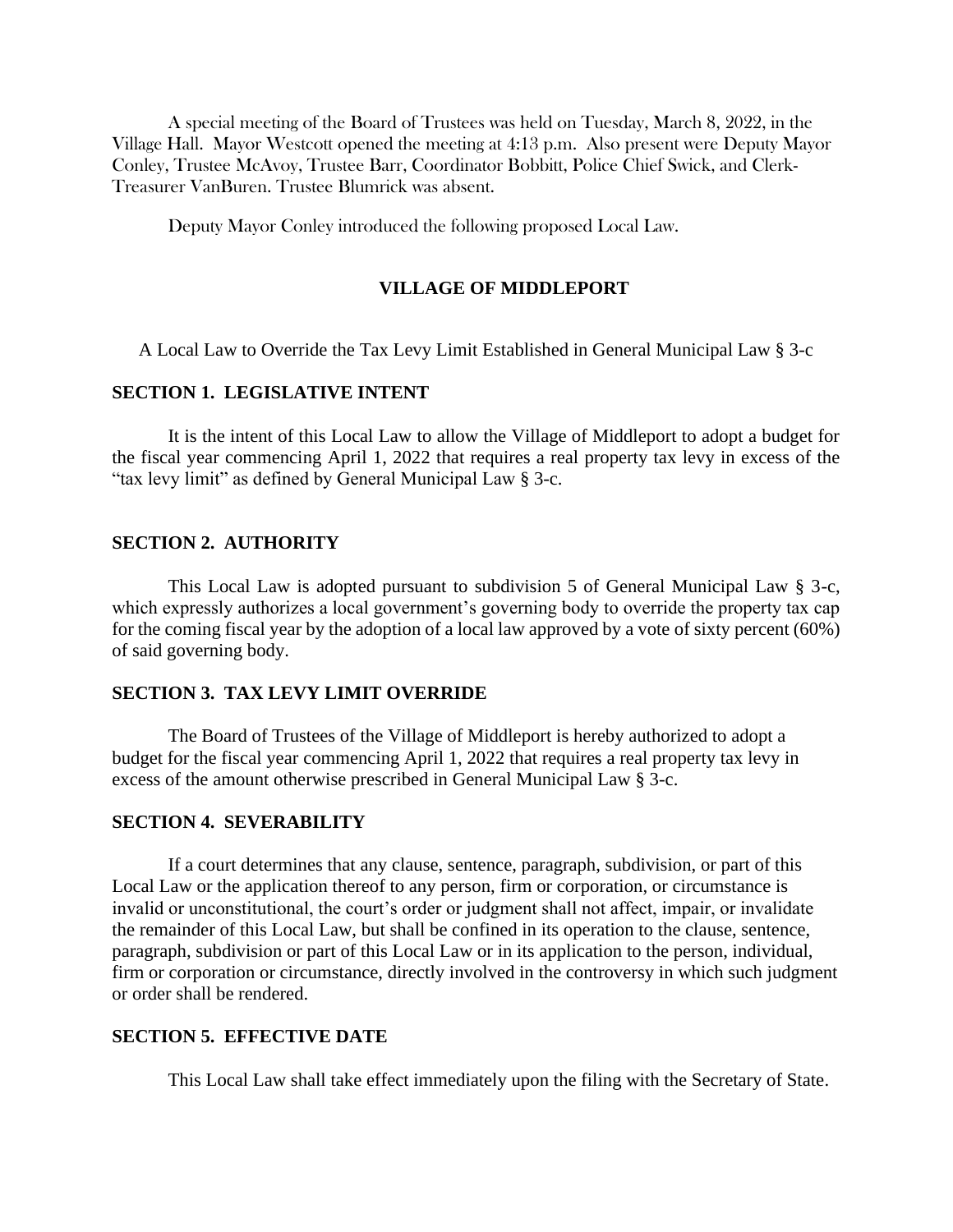A special meeting of the Board of Trustees was held on Tuesday, March 8, 2022, in the Village Hall. Mayor Westcott opened the meeting at 4:13 p.m. Also present were Deputy Mayor Conley, Trustee McAvoy, Trustee Barr, Coordinator Bobbitt, Police Chief Swick, and Clerk-Treasurer VanBuren. Trustee Blumrick was absent.

Deputy Mayor Conley introduced the following proposed Local Law.

### **VILLAGE OF MIDDLEPORT**

A Local Law to Override the Tax Levy Limit Established in General Municipal Law § 3-c

### **SECTION 1. LEGISLATIVE INTENT**

It is the intent of this Local Law to allow the Village of Middleport to adopt a budget for the fiscal year commencing April 1, 2022 that requires a real property tax levy in excess of the "tax levy limit" as defined by General Municipal Law § 3-c.

### **SECTION 2. AUTHORITY**

This Local Law is adopted pursuant to subdivision 5 of General Municipal Law § 3-c, which expressly authorizes a local government's governing body to override the property tax cap for the coming fiscal year by the adoption of a local law approved by a vote of sixty percent (60%) of said governing body.

# **SECTION 3. TAX LEVY LIMIT OVERRIDE**

The Board of Trustees of the Village of Middleport is hereby authorized to adopt a budget for the fiscal year commencing April 1, 2022 that requires a real property tax levy in excess of the amount otherwise prescribed in General Municipal Law § 3-c.

# **SECTION 4. SEVERABILITY**

If a court determines that any clause, sentence, paragraph, subdivision, or part of this Local Law or the application thereof to any person, firm or corporation, or circumstance is invalid or unconstitutional, the court's order or judgment shall not affect, impair, or invalidate the remainder of this Local Law, but shall be confined in its operation to the clause, sentence, paragraph, subdivision or part of this Local Law or in its application to the person, individual, firm or corporation or circumstance, directly involved in the controversy in which such judgment or order shall be rendered.

# **SECTION 5. EFFECTIVE DATE**

This Local Law shall take effect immediately upon the filing with the Secretary of State.